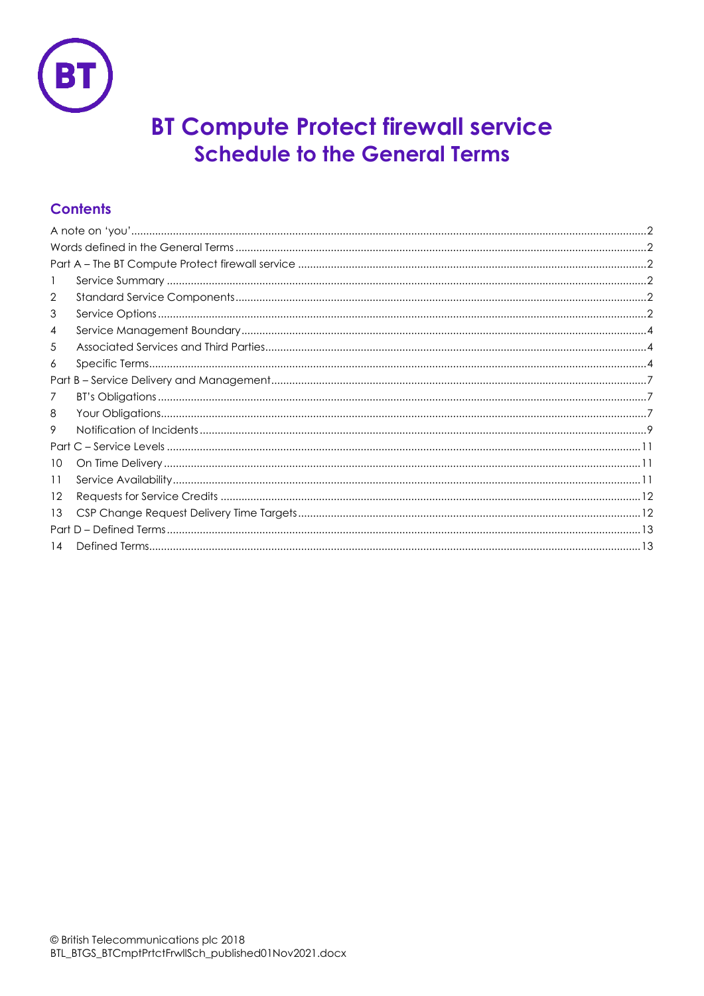

# **BT Compute Protect firewall service Schedule to the General Terms**

# **Contents**

| 2  |  |  |  |  |  |
|----|--|--|--|--|--|
| 3  |  |  |  |  |  |
| 4  |  |  |  |  |  |
| 5  |  |  |  |  |  |
| 6  |  |  |  |  |  |
|    |  |  |  |  |  |
| 7  |  |  |  |  |  |
| 8  |  |  |  |  |  |
| 9  |  |  |  |  |  |
|    |  |  |  |  |  |
| 10 |  |  |  |  |  |
| 11 |  |  |  |  |  |
| 12 |  |  |  |  |  |
| 13 |  |  |  |  |  |
|    |  |  |  |  |  |
| 14 |  |  |  |  |  |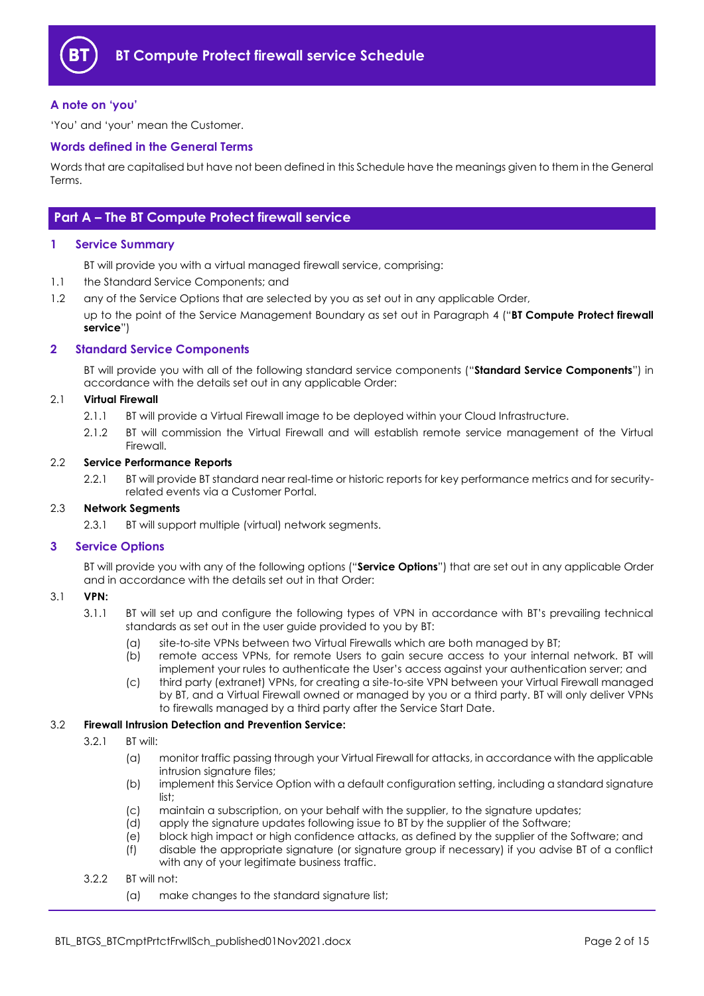

#### <span id="page-1-0"></span>**A note on 'you'**

'You' and 'your' mean the Customer.

#### <span id="page-1-1"></span>**Words defined in the General Terms**

Words that are capitalised but have not been defined in this Schedule have the meanings given to them in the General Terms.

# <span id="page-1-2"></span>**Part A – The BT Compute Protect firewall service**

#### <span id="page-1-3"></span>**1 Service Summary**

BT will provide you with a virtual managed firewall service, comprising:

- 1.1 the Standard Service Components; and
- 1.2 any of the Service Options that are selected by you as set out in any applicable Order,

up to the point of the Service Management Boundary as set out in Paragraph [4](#page-3-0) ("**BT Compute Protect firewall service**")

#### <span id="page-1-4"></span>**2 Standard Service Components**

BT will provide you with all of the following standard service components ("**Standard Service Components**") in accordance with the details set out in any applicable Order:

#### 2.1 **Virtual Firewall**

- 2.1.1 BT will provide a Virtual Firewall image to be deployed within your Cloud Infrastructure.
- 2.1.2 BT will commission the Virtual Firewall and will establish remote service management of the Virtual Firewall.

## <span id="page-1-6"></span>2.2 **Service Performance Reports**

2.2.1 BT will provide BT standard near real-time or historic reports for key performance metrics and for securityrelated events via a Customer Portal.

#### 2.3 **Network Segments**

2.3.1 BT will support multiple (virtual) network segments.

#### <span id="page-1-5"></span>**3 Service Options**

BT will provide you with any of the following options ("**Service Options**") that are set out in any applicable Order and in accordance with the details set out in that Order:

#### <span id="page-1-7"></span>3.1 **VPN:**

- 3.1.1 BT will set up and configure the following types of VPN in accordance with BT's prevailing technical standards as set out in the user guide provided to you by BT:
	- (a) site-to-site VPNs between two Virtual Firewalls which are both managed by BT;
	- (b) remote access VPNs, for remote Users to gain secure access to your internal network. BT will implement your rules to authenticate the User's access against your authentication server; and
	- (c) third party (extranet) VPNs, for creating a site-to-site VPN between your Virtual Firewall managed by BT, and a Virtual Firewall owned or managed by you or a third party. BT will only deliver VPNs to firewalls managed by a third party after the Service Start Date.

## 3.2 **Firewall Intrusion Detection and Prevention Service:**

- 3.2.1 BT will:
	- (a) monitor traffic passing through your Virtual Firewall for attacks, in accordance with the applicable intrusion signature files;
	- (b) implement this Service Option with a default configuration setting, including a standard signature list;
	- (c) maintain a subscription, on your behalf with the supplier, to the signature updates;
	- (d) apply the signature updates following issue to BT by the supplier of the Software;
	- (e) block high impact or high confidence attacks, as defined by the supplier of the Software; and
	- (f) disable the appropriate signature (or signature group if necessary) if you advise BT of a conflict with any of your legitimate business traffic.

#### 3.2.2 BT will not:

(a) make changes to the standard signature list;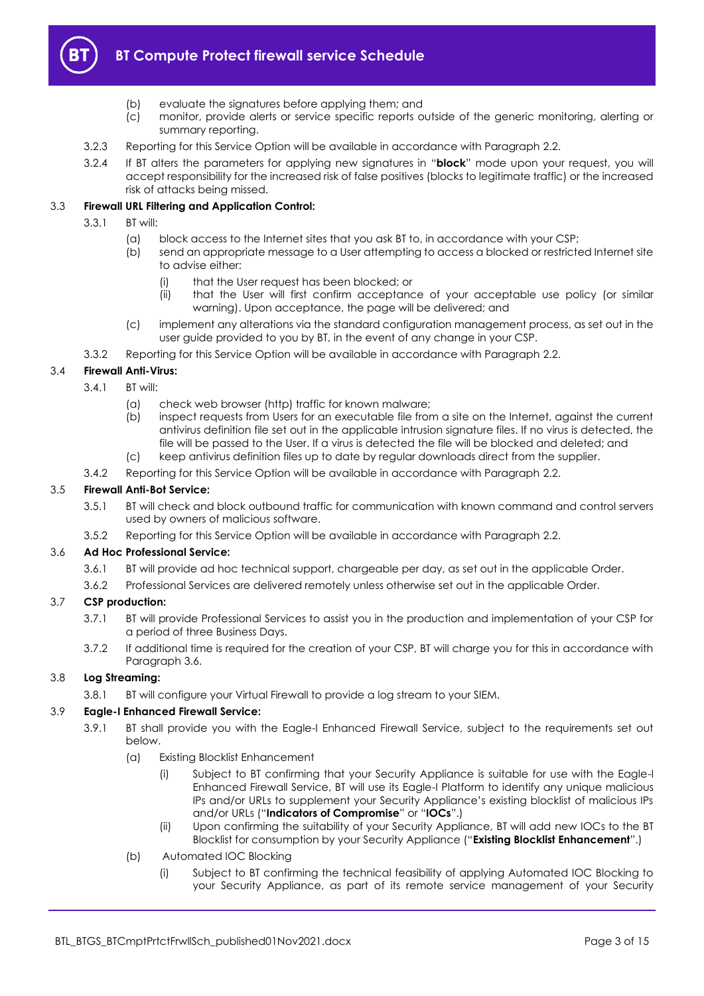

- (b) evaluate the signatures before applying them; and
- (c) monitor, provide alerts or service specific reports outside of the generic monitoring, alerting or summary reporting.
- 3.2.3 Reporting for this Service Option will be available in accordance with Paragraph [2.2.](#page-1-6)
- 3.2.4 If BT alters the parameters for applying new signatures in "**block**" mode upon your request, you will accept responsibility for the increased risk of false positives (blocks to legitimate traffic) or the increased risk of attacks being missed.

## 3.3 **Firewall URL Filtering and Application Control:**

- 3.3.1 BT will:
	- (a) block access to the Internet sites that you ask BT to, in accordance with your CSP;
	- (b) send an appropriate message to a User attempting to access a blocked or restricted Internet site to advise either:
		- (i) that the User request has been blocked; or
		- (ii) that the User will first confirm acceptance of your acceptable use policy (or similar warning). Upon acceptance, the page will be delivered; and
	- (c) implement any alterations via the standard configuration management process, as set out in the user guide provided to you by BT, in the event of any change in your CSP.
- 3.3.2 Reporting for this Service Option will be available in accordance with Paragraph [2.2.](#page-1-6)

# 3.4 **Firewall Anti-Virus:**

- 3.4.1 BT will:
	- (a) check web browser (http) traffic for known malware;
	- (b) inspect requests from Users for an executable file from a site on the Internet, against the current antivirus definition file set out in the applicable intrusion signature files. If no virus is detected, the file will be passed to the User. If a virus is detected the file will be blocked and deleted; and
	- (c) keep antivirus definition files up to date by regular downloads direct from the supplier. 3.4.2 Reporting for this Service Option will be available in accordance with Paragraph [2.2.](#page-1-6)

# 3.5 **Firewall Anti-Bot Service:**

- 3.5.1 BT will check and block outbound traffic for communication with known command and control servers used by owners of malicious software.
- 3.5.2 Reporting for this Service Option will be available in accordance with Paragraph [2.2.](#page-1-6)

#### <span id="page-2-0"></span>3.6 **Ad Hoc Professional Service:**

- 3.6.1 BT will provide ad hoc technical support, chargeable per day, as set out in the applicable Order.
- 3.6.2 Professional Services are delivered remotely unless otherwise set out in the applicable Order.

# <span id="page-2-2"></span>3.7 **CSP production:**

- 3.7.1 BT will provide Professional Services to assist you in the production and implementation of your CSP for a period of three Business Days.
- 3.7.2 If additional time is required for the creation of your CSP, BT will charge you for this in accordance with Paragraph [3.6.](#page-2-0)

# 3.8 **Log Streaming:**

3.8.1 BT will configure your Virtual Firewall to provide a log stream to your SIEM.

# <span id="page-2-3"></span>3.9 **Eagle-I Enhanced Firewall Service:**

- <span id="page-2-5"></span><span id="page-2-4"></span><span id="page-2-1"></span>3.9.1 BT shall provide you with the Eagle-I Enhanced Firewall Service, subject to the requirements set out below.
	- (a) Existing Blocklist Enhancement
		- (i) Subject to BT confirming that your Security Appliance is suitable for use with the Eagle-I Enhanced Firewall Service, BT will use its Eagle-I Platform to identify any unique malicious IPs and/or URLs to supplement your Security Appliance's existing blocklist of malicious IPs and/or URLs ("**Indicators of Compromise**" or "**IOCs**".)
		- (ii) Upon confirming the suitability of your Security Appliance, BT will add new IOCs to the BT Blocklist for consumption by your Security Appliance ("**Existing Blocklist Enhancement**".)
	- (b) Automated IOC Blocking
		- (i) Subject to BT confirming the technical feasibility of applying Automated IOC Blocking to your Security Appliance, as part of its remote service management of your Security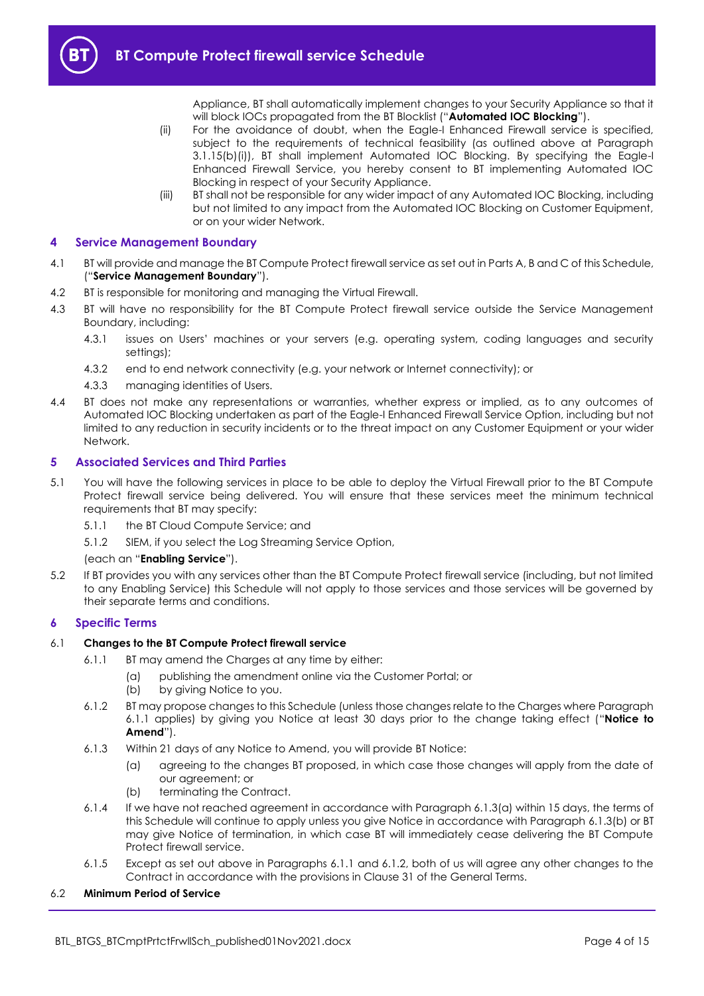

Appliance, BT shall automatically implement changes to your Security Appliance so that it will block IOCs propagated from the BT Blocklist ("**Automated IOC Blocking**").

- (ii) For the avoidance of doubt, when the Eagle-I Enhanced Firewall service is specified, subject to the requirements of technical feasibility (as outlined above at Paragraph 3.1.15(b[\)\(i\)\)](#page-2-1), BT shall implement Automated IOC Blocking. By specifying the Eagle-I Enhanced Firewall Service, you hereby consent to BT implementing Automated IOC Blocking in respect of your Security Appliance.
- (iii) BT shall not be responsible for any wider impact of any Automated IOC Blocking, including but not limited to any impact from the Automated IOC Blocking on Customer Equipment, or on your wider Network.

#### <span id="page-3-0"></span>**4 Service Management Boundary**

- 4.1 BT will provide and manage the BT Compute Protect firewall service as set out in Parts A, B and C of this Schedule, ("**Service Management Boundary**").
- 4.2 BT is responsible for monitoring and managing the Virtual Firewall.
- 4.3 BT will have no responsibility for the BT Compute Protect firewall service outside the Service Management Boundary, including:
	- 4.3.1 issues on Users' machines or your servers (e.g. operating system, coding languages and security settings);
	- 4.3.2 end to end network connectivity (e.g. your network or Internet connectivity); or
	- 4.3.3 managing identities of Users.
- 4.4 BT does not make any representations or warranties, whether express or implied, as to any outcomes of Automated IOC Blocking undertaken as part of the Eagle-I Enhanced Firewall Service Option, including but not limited to any reduction in security incidents or to the threat impact on any Customer Equipment or your wider Network.

## <span id="page-3-1"></span>**5 Associated Services and Third Parties**

- <span id="page-3-7"></span>5.1 You will have the following services in place to be able to deploy the Virtual Firewall prior to the BT Compute Protect firewall service being delivered. You will ensure that these services meet the minimum technical requirements that BT may specify:
	- 5.1.1 the BT Cloud Compute Service; and
	- 5.1.2 SIEM, if you select the Log Streaming Service Option,
	- (each an "**Enabling Service**").
- 5.2 If BT provides you with any services other than the BT Compute Protect firewall service (including, but not limited to any Enabling Service) this Schedule will not apply to those services and those services will be governed by their separate terms and conditions.

#### <span id="page-3-2"></span>**6 Specific Terms**

#### <span id="page-3-3"></span>6.1 **Changes to the BT Compute Protect firewall service**

- 6.1.1 BT may amend the Charges at any time by either:
	- (a) publishing the amendment online via the Customer Portal; or
	- (b) by giving Notice to you.
- <span id="page-3-6"></span>6.1.2 BT may propose changes to this Schedule (unless those changes relate to the Charges where Paragraph [6.1.1](#page-3-3) applies) by giving you Notice at least 30 days prior to the change taking effect ("**Notice to Amend**").
- <span id="page-3-4"></span>6.1.3 Within 21 days of any Notice to Amend, you will provide BT Notice:
	- (a) agreeing to the changes BT proposed, in which case those changes will apply from the date of our agreement; or
	- (b) terminating the Contract.
- <span id="page-3-5"></span>6.1.4 If we have not reached agreement in accordance with Paragraph [6.1.3\(a\)](#page-3-4) within 15 days, the terms of this Schedule will continue to apply unless you give Notice in accordance with Paragrap[h 6.1.3\(b\)](#page-3-5) or BT may give Notice of termination, in which case BT will immediately cease delivering the BT Compute Protect firewall service.
- 6.1.5 Except as set out above in Paragraphs [6.1.1](#page-3-3) and [6.1.2,](#page-3-6) both of us will agree any other changes to the Contract in accordance with the provisions in Clause 31 of the General Terms.

#### 6.2 **Minimum Period of Service**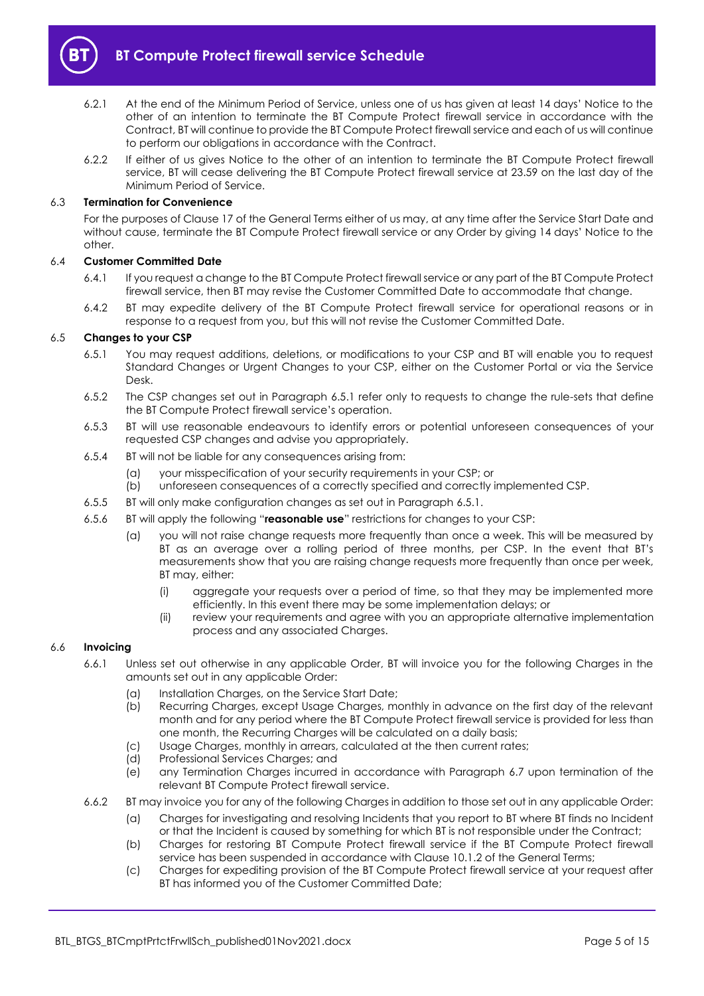

- 6.2.1 At the end of the Minimum Period of Service, unless one of us has given at least 14 days' Notice to the other of an intention to terminate the BT Compute Protect firewall service in accordance with the Contract, BT will continue to provide the BT Compute Protect firewall service and each of us will continue to perform our obligations in accordance with the Contract.
- 6.2.2 If either of us gives Notice to the other of an intention to terminate the BT Compute Protect firewall service, BT will cease delivering the BT Compute Protect firewall service at 23.59 on the last day of the Minimum Period of Service.

#### 6.3 **Termination for Convenience**

For the purposes of Clause 17 of the General Terms either of us may, at any time after the Service Start Date and without cause, terminate the BT Compute Protect firewall service or any Order by giving 14 days' Notice to the other.

#### <span id="page-4-2"></span>6.4 **Customer Committed Date**

- 6.4.1 If you request a change to the BT Compute Protect firewall service or any part of the BT Compute Protect firewall service, then BT may revise the Customer Committed Date to accommodate that change.
- 6.4.2 BT may expedite delivery of the BT Compute Protect firewall service for operational reasons or in response to a request from you, but this will not revise the Customer Committed Date.

#### <span id="page-4-1"></span><span id="page-4-0"></span>6.5 **Changes to your CSP**

- 6.5.1 You may request additions, deletions, or modifications to your CSP and BT will enable you to request Standard Changes or Urgent Changes to your CSP, either on the Customer Portal or via the Service Desk.
- 6.5.2 The CSP changes set out in Paragraph [6.5.1](#page-4-0) refer only to requests to change the rule-sets that define the BT Compute Protect firewall service's operation.
- 6.5.3 BT will use reasonable endeavours to identify errors or potential unforeseen consequences of your requested CSP changes and advise you appropriately.
- 6.5.4 BT will not be liable for any consequences arising from:
	- (a) your misspecification of your security requirements in your CSP; or
	- (b) unforeseen consequences of a correctly specified and correctly implemented CSP.
- 6.5.5 BT will only make configuration changes as set out in Paragraph [6.5.1.](#page-4-0)
- 6.5.6 BT will apply the following "**reasonable use**" restrictions for changes to your CSP:
	- (a) you will not raise change requests more frequently than once a week. This will be measured by BT as an average over a rolling period of three months, per CSP. In the event that BT's measurements show that you are raising change requests more frequently than once per week, BT may, either:
		- (i) aggregate your requests over a period of time, so that they may be implemented more efficiently. In this event there may be some implementation delays; or
		- (ii) review your requirements and agree with you an appropriate alternative implementation process and any associated Charges.

#### 6.6 **Invoicing**

- 6.6.1 Unless set out otherwise in any applicable Order, BT will invoice you for the following Charges in the amounts set out in any applicable Order:
	- (a) Installation Charges, on the Service Start Date;
	- (b) Recurring Charges, except Usage Charges, monthly in advance on the first day of the relevant month and for any period where the BT Compute Protect firewall service is provided for less than one month, the Recurring Charges will be calculated on a daily basis;
	- (c) Usage Charges, monthly in arrears, calculated at the then current rates;
	- (d) Professional Services Charges; and
	- (e) any Termination Charges incurred in accordance with Paragraph [6.7](#page-5-0) upon termination of the relevant BT Compute Protect firewall service.
- 6.6.2 BT may invoice you for any of the following Charges in addition to those set out in any applicable Order:
	- (a) Charges for investigating and resolving Incidents that you report to BT where BT finds no Incident or that the Incident is caused by something for which BT is not responsible under the Contract;
	- (b) Charges for restoring BT Compute Protect firewall service if the BT Compute Protect firewall service has been suspended in accordance with Clause 10.1.2 of the General Terms;
	- (c) Charges for expediting provision of the BT Compute Protect firewall service at your request after BT has informed you of the Customer Committed Date;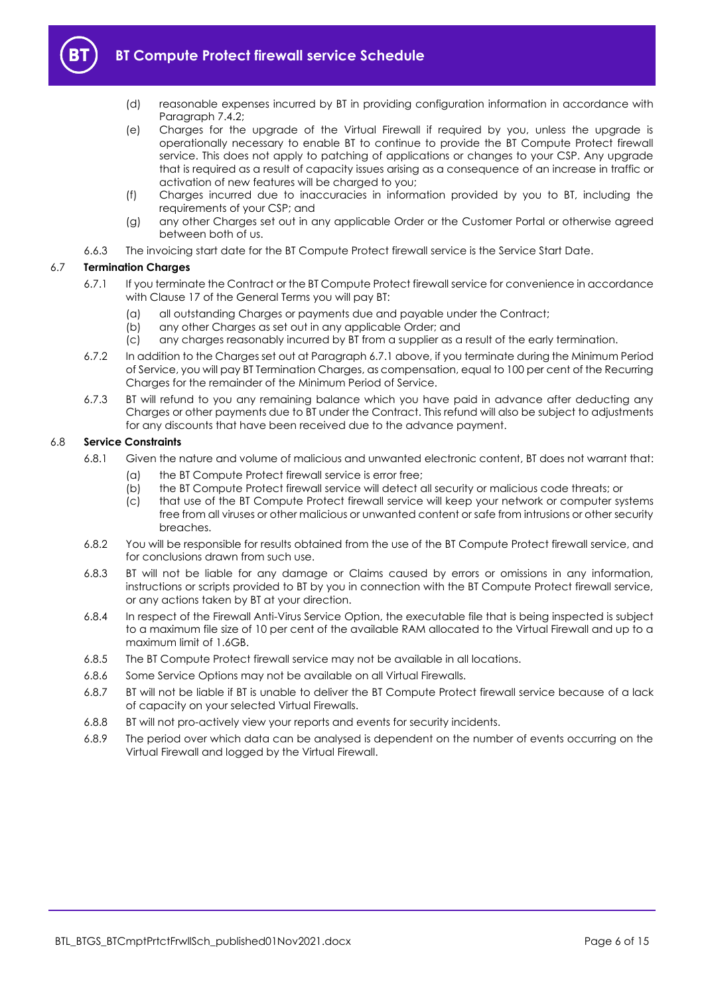

- (d) reasonable expenses incurred by BT in providing configuration information in accordance with Paragraph [7.4.2;](#page-6-3)
- (e) Charges for the upgrade of the Virtual Firewall if required by you, unless the upgrade is operationally necessary to enable BT to continue to provide the BT Compute Protect firewall service. This does not apply to patching of applications or changes to your CSP. Any upgrade that is required as a result of capacity issues arising as a consequence of an increase in traffic or activation of new features will be charged to you;
- (f) Charges incurred due to inaccuracies in information provided by you to BT, including the requirements of your CSP; and
- (g) any other Charges set out in any applicable Order or the Customer Portal or otherwise agreed between both of us.
- 6.6.3 The invoicing start date for the BT Compute Protect firewall service is the Service Start Date.

## <span id="page-5-1"></span><span id="page-5-0"></span>6.7 **Termination Charges**

- 6.7.1 If you terminate the Contract or the BT Compute Protect firewall service for convenience in accordance with Clause 17 of the General Terms you will pay BT:
	- (a) all outstanding Charges or payments due and payable under the Contract;
	- (b) any other Charges as set out in any applicable Order; and
	- (c) any charges reasonably incurred by BT from a supplier as a result of the early termination.
- 6.7.2 In addition to the Charges set out at Paragrap[h 6.7.1](#page-5-1) above, if you terminate during the Minimum Period of Service, you will pay BT Termination Charges, as compensation, equal to 100 per cent of the Recurring Charges for the remainder of the Minimum Period of Service.
- 6.7.3 BT will refund to you any remaining balance which you have paid in advance after deducting any Charges or other payments due to BT under the Contract. This refund will also be subject to adjustments for any discounts that have been received due to the advance payment.

## 6.8 **Service Constraints**

- 6.8.1 Given the nature and volume of malicious and unwanted electronic content, BT does not warrant that:
	- (a) the BT Compute Protect firewall service is error free;
	- (b) the BT Compute Protect firewall service will detect all security or malicious code threats; or
	- (c) that use of the BT Compute Protect firewall service will keep your network or computer systems free from all viruses or other malicious or unwanted content or safe from intrusions or other security breaches.
- 6.8.2 You will be responsible for results obtained from the use of the BT Compute Protect firewall service, and for conclusions drawn from such use.
- 6.8.3 BT will not be liable for any damage or Claims caused by errors or omissions in any information, instructions or scripts provided to BT by you in connection with the BT Compute Protect firewall service, or any actions taken by BT at your direction.
- 6.8.4 In respect of the Firewall Anti-Virus Service Option, the executable file that is being inspected is subject to a maximum file size of 10 per cent of the available RAM allocated to the Virtual Firewall and up to a maximum limit of 1.6GB.
- 6.8.5 The BT Compute Protect firewall service may not be available in all locations.
- 6.8.6 Some Service Options may not be available on all Virtual Firewalls.
- 6.8.7 BT will not be liable if BT is unable to deliver the BT Compute Protect firewall service because of a lack of capacity on your selected Virtual Firewalls.
- 6.8.8 BT will not pro-actively view your reports and events for security incidents.
- 6.8.9 The period over which data can be analysed is dependent on the number of events occurring on the Virtual Firewall and logged by the Virtual Firewall.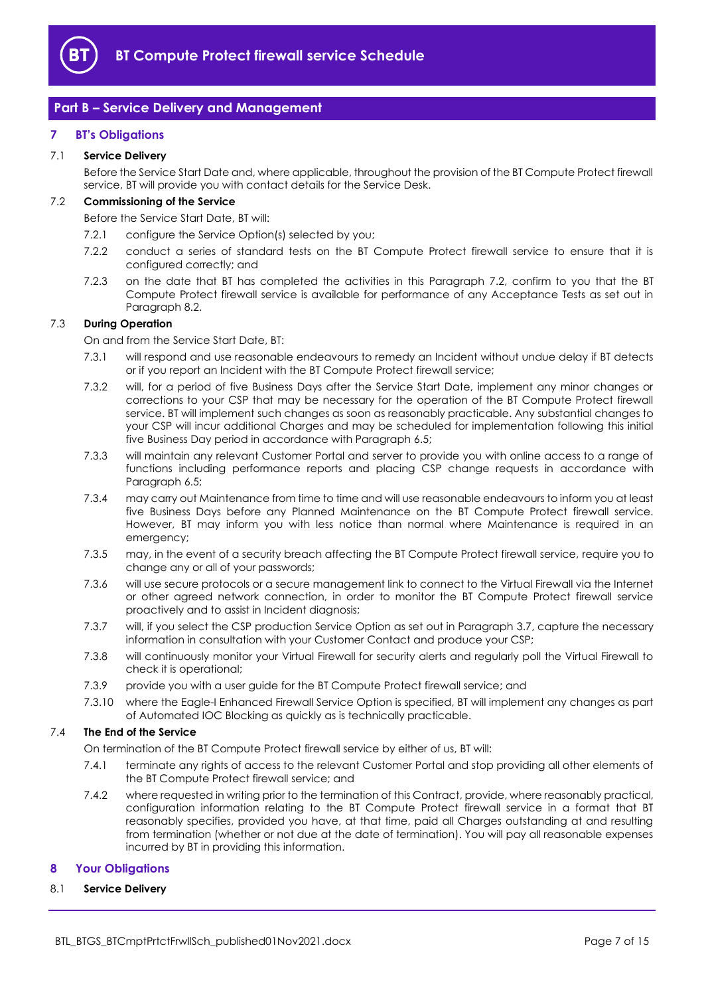

# <span id="page-6-0"></span>**Part B – Service Delivery and Management**

## <span id="page-6-1"></span>**7 BT's Obligations**

## 7.1 **Service Delivery**

Before the Service Start Date and, where applicable, throughout the provision of the BT Compute Protect firewall service, BT will provide you with contact details for the Service Desk.

# <span id="page-6-4"></span>7.2 **Commissioning of the Service**

Before the Service Start Date, BT will:

- 7.2.1 configure the Service Option(s) selected by you;
- 7.2.2 conduct a series of standard tests on the BT Compute Protect firewall service to ensure that it is configured correctly; and
- <span id="page-6-5"></span>7.2.3 on the date that BT has completed the activities in this Paragraph [7.2,](#page-6-4) confirm to you that the BT Compute Protect firewall service is available for performance of any Acceptance Tests as set out in Paragrap[h 8.2.](#page-7-0)

#### <span id="page-6-6"></span>7.3 **During Operation**

On and from the Service Start Date, BT:

- 7.3.1 will respond and use reasonable endeavours to remedy an Incident without undue delay if BT detects or if you report an Incident with the BT Compute Protect firewall service;
- 7.3.2 will, for a period of five Business Days after the Service Start Date, implement any minor changes or corrections to your CSP that may be necessary for the operation of the BT Compute Protect firewall service. BT will implement such changes as soon as reasonably practicable. Any substantial changes to your CSP will incur additional Charges and may be scheduled for implementation following this initial five Business Day period in accordance with Paragraph [6.5;](#page-4-1)
- 7.3.3 will maintain any relevant Customer Portal and server to provide you with online access to a range of functions including performance reports and placing CSP change requests in accordance with Paragrap[h 6.5;](#page-4-1)
- 7.3.4 may carry out Maintenance from time to time and will use reasonable endeavours to inform you at least five Business Days before any Planned Maintenance on the BT Compute Protect firewall service. However, BT may inform you with less notice than normal where Maintenance is required in an emergency;
- 7.3.5 may, in the event of a security breach affecting the BT Compute Protect firewall service, require you to change any or all of your passwords;
- 7.3.6 will use secure protocols or a secure management link to connect to the Virtual Firewall via the Internet or other agreed network connection, in order to monitor the BT Compute Protect firewall service proactively and to assist in Incident diagnosis;
- 7.3.7 will, if you select the CSP production Service Option as set out in Paragraph [3.7,](#page-2-2) capture the necessary information in consultation with your Customer Contact and produce your CSP;
- 7.3.8 will continuously monitor your Virtual Firewall for security alerts and regularly poll the Virtual Firewall to check it is operational;
- 7.3.9 provide you with a user guide for the BT Compute Protect firewall service; and
- 7.3.10 where the Eagle-I Enhanced Firewall Service Option is specified, BT will implement any changes as part of Automated IOC Blocking as quickly as is technically practicable.

#### 7.4 **The End of the Service**

On termination of the BT Compute Protect firewall service by either of us, BT will:

- 7.4.1 terminate any rights of access to the relevant Customer Portal and stop providing all other elements of the BT Compute Protect firewall service; and
- <span id="page-6-3"></span>7.4.2 where requested in writing prior to the termination of this Contract, provide, where reasonably practical, configuration information relating to the BT Compute Protect firewall service in a format that BT reasonably specifies, provided you have, at that time, paid all Charges outstanding at and resulting from termination (whether or not due at the date of termination). You will pay all reasonable expenses incurred by BT in providing this information.

#### <span id="page-6-2"></span>**8 Your Obligations**

#### 8.1 **Service Delivery**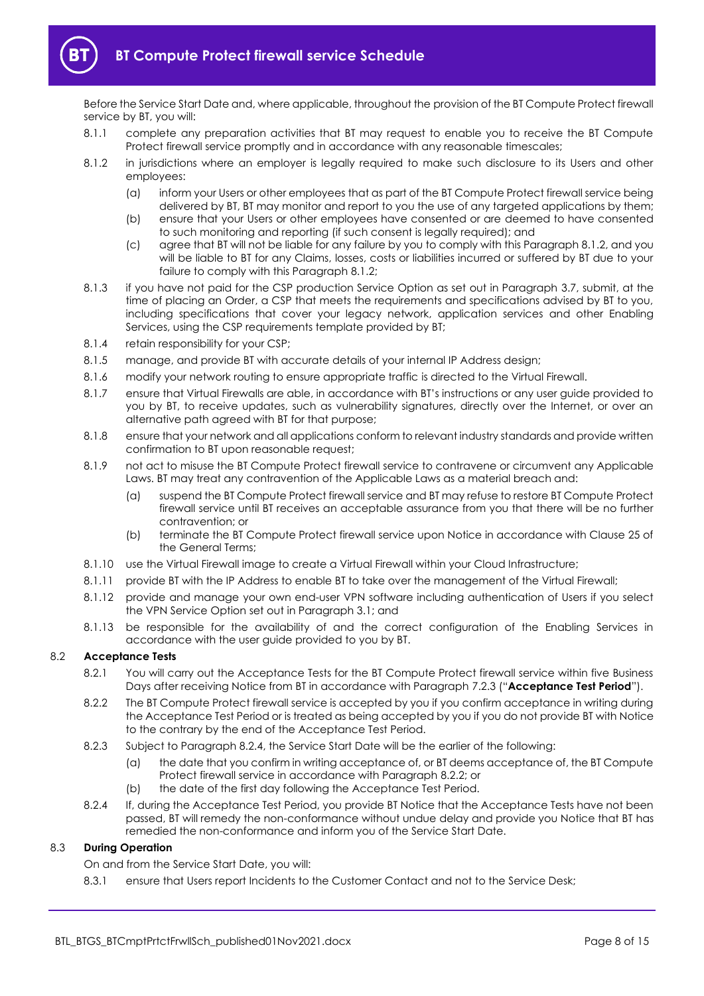

Before the Service Start Date and, where applicable, throughout the provision of the BT Compute Protect firewall service by BT, you will:

- 8.1.1 complete any preparation activities that BT may request to enable you to receive the BT Compute Protect firewall service promptly and in accordance with any reasonable timescales;
- <span id="page-7-1"></span>8.1.2 in jurisdictions where an employer is legally required to make such disclosure to its Users and other employees:
	- (a) inform your Users or other employees that as part of the BT Compute Protect firewall service being delivered by BT, BT may monitor and report to you the use of any targeted applications by them;
	- (b) ensure that your Users or other employees have consented or are deemed to have consented to such monitoring and reporting (if such consent is legally required); and
	- (c) agree that BT will not be liable for any failure by you to comply with this Paragraph [8.1.2,](#page-7-1) and you will be liable to BT for any Claims, losses, costs or liabilities incurred or suffered by BT due to your failure to comply with this Paragrap[h 8.1.2;](#page-7-1)
- 8.1.3 if you have not paid for the CSP production Service Option as set out in Paragraph [3.7,](#page-2-2) submit, at the time of placing an Order, a CSP that meets the requirements and specifications advised by BT to you, including specifications that cover your legacy network, application services and other Enabling Services, using the CSP requirements template provided by BT;
- 8.1.4 retain responsibility for your CSP;
- 8.1.5 manage, and provide BT with accurate details of your internal IP Address design;
- 8.1.6 modify your network routing to ensure appropriate traffic is directed to the Virtual Firewall.
- 8.1.7 ensure that Virtual Firewalls are able, in accordance with BT's instructions or any user guide provided to you by BT, to receive updates, such as vulnerability signatures, directly over the Internet, or over an alternative path agreed with BT for that purpose;
- 8.1.8 ensure that your network and all applications conform to relevant industry standards and provide written confirmation to BT upon reasonable request;
- 8.1.9 not act to misuse the BT Compute Protect firewall service to contravene or circumvent any Applicable Laws. BT may treat any contravention of the Applicable Laws as a material breach and:
	- (a) suspend the BT Compute Protect firewall service and BT may refuse to restore BT Compute Protect firewall service until BT receives an acceptable assurance from you that there will be no further contravention; or
	- (b) terminate the BT Compute Protect firewall service upon Notice in accordance with Clause 25 of the General Terms;
- 8.1.10 use the Virtual Firewall image to create a Virtual Firewall within your Cloud Infrastructure;
- 8.1.11 provide BT with the IP Address to enable BT to take over the management of the Virtual Firewall;
- 8.1.12 provide and manage your own end-user VPN software including authentication of Users if you select the VPN Service Option set out in Paragrap[h 3.1;](#page-1-7) and
- 8.1.13 be responsible for the availability of and the correct configuration of the Enabling Services in accordance with the user guide provided to you by BT.

# <span id="page-7-4"></span><span id="page-7-0"></span>8.2 **Acceptance Tests**

- 8.2.1 You will carry out the Acceptance Tests for the BT Compute Protect firewall service within five Business Days after receiving Notice from BT in accordance with Paragraph [7.2.3](#page-6-5) ("**Acceptance Test Period**").
- <span id="page-7-3"></span>8.2.2 The BT Compute Protect firewall service is accepted by you if you confirm acceptance in writing during the Acceptance Test Period or is treated as being accepted by you if you do not provide BT with Notice to the contrary by the end of the Acceptance Test Period.
- 8.2.3 Subject to Paragraph [8.2.4,](#page-7-2) the Service Start Date will be the earlier of the following:
	- (a) the date that you confirm in writing acceptance of, or BT deems acceptance of, the BT Compute Protect firewall service in accordance with Paragrap[h 8.2.2;](#page-7-3) or
	- (b) the date of the first day following the Acceptance Test Period.
- <span id="page-7-2"></span>8.2.4 If, during the Acceptance Test Period, you provide BT Notice that the Acceptance Tests have not been passed, BT will remedy the non-conformance without undue delay and provide you Notice that BT has remedied the non-conformance and inform you of the Service Start Date.

# 8.3 **During Operation**

On and from the Service Start Date, you will:

8.3.1 ensure that Users report Incidents to the Customer Contact and not to the Service Desk;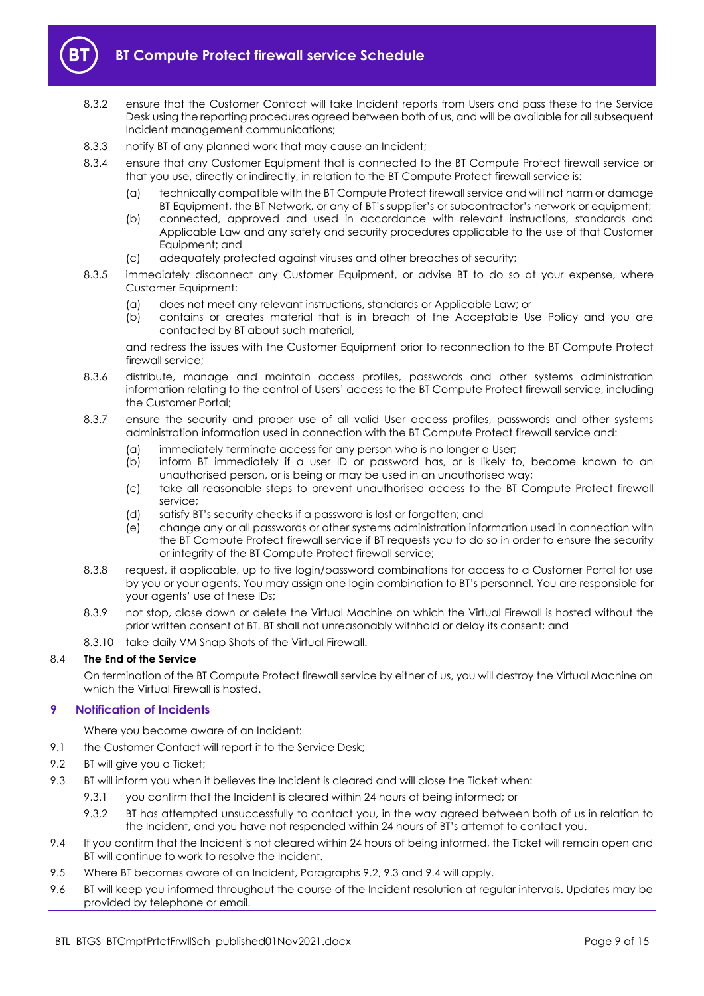

- 8.3.2 ensure that the Customer Contact will take Incident reports from Users and pass these to the Service Desk using the reporting procedures agreed between both of us, and will be available for all subsequent Incident management communications;
- 8.3.3 notify BT of any planned work that may cause an Incident;
- 8.3.4 ensure that any Customer Equipment that is connected to the BT Compute Protect firewall service or that you use, directly or indirectly, in relation to the BT Compute Protect firewall service is:
	- (a) technically compatible with the BT Compute Protect firewall service and will not harm or damage BT Equipment, the BT Network, or any of BT's supplier's or subcontractor's network or equipment;
	- (b) connected, approved and used in accordance with relevant instructions, standards and Applicable Law and any safety and security procedures applicable to the use of that Customer Equipment; and
	- (c) adequately protected against viruses and other breaches of security;
- 8.3.5 immediately disconnect any Customer Equipment, or advise BT to do so at your expense, where Customer Equipment:
	- (a) does not meet any relevant instructions, standards or Applicable Law; or
	- (b) contains or creates material that is in breach of the Acceptable Use Policy and you are contacted by BT about such material,

and redress the issues with the Customer Equipment prior to reconnection to the BT Compute Protect firewall service;

- 8.3.6 distribute, manage and maintain access profiles, passwords and other systems administration information relating to the control of Users' access to the BT Compute Protect firewall service, including the Customer Portal;
- 8.3.7 ensure the security and proper use of all valid User access profiles, passwords and other systems administration information used in connection with the BT Compute Protect firewall service and:
	- (a) immediately terminate access for any person who is no longer a User;
	- (b) inform BT immediately if a user ID or password has, or is likely to, become known to an unauthorised person, or is being or may be used in an unauthorised way;
	- (c) take all reasonable steps to prevent unauthorised access to the BT Compute Protect firewall service;
	- (d) satisfy BT's security checks if a password is lost or forgotten; and
	- (e) change any or all passwords or other systems administration information used in connection with the BT Compute Protect firewall service if BT requests you to do so in order to ensure the security or integrity of the BT Compute Protect firewall service;
- 8.3.8 request, if applicable, up to five login/password combinations for access to a Customer Portal for use by you or your agents. You may assign one login combination to BT's personnel. You are responsible for your agents' use of these IDs;
- 8.3.9 not stop, close down or delete the Virtual Machine on which the Virtual Firewall is hosted without the prior written consent of BT. BT shall not unreasonably withhold or delay its consent; and
- 8.3.10 take daily VM Snap Shots of the Virtual Firewall.

#### 8.4 **The End of the Service**

On termination of the BT Compute Protect firewall service by either of us, you will destroy the Virtual Machine on which the Virtual Firewall is hosted.

# <span id="page-8-0"></span>**9 Notification of Incidents**

Where you become aware of an Incident:

- 9.1 the Customer Contact will report it to the Service Desk;
- <span id="page-8-1"></span>9.2 BT will give you a Ticket;
- <span id="page-8-2"></span>9.3 BT will inform you when it believes the Incident is cleared and will close the Ticket when:
	- 9.3.1 you confirm that the Incident is cleared within 24 hours of being informed; or
	- 9.3.2 BT has attempted unsuccessfully to contact you, in the way agreed between both of us in relation to the Incident, and you have not responded within 24 hours of BT's attempt to contact you.
- <span id="page-8-3"></span>9.4 If you confirm that the Incident is not cleared within 24 hours of being informed, the Ticket will remain open and BT will continue to work to resolve the Incident.
- 9.5 Where BT becomes aware of an Incident, Paragraphs [9.2,](#page-8-1) [9.3](#page-8-2) and [9.4](#page-8-3) will apply.
- 9.6 BT will keep you informed throughout the course of the Incident resolution at regular intervals. Updates may be provided by telephone or email.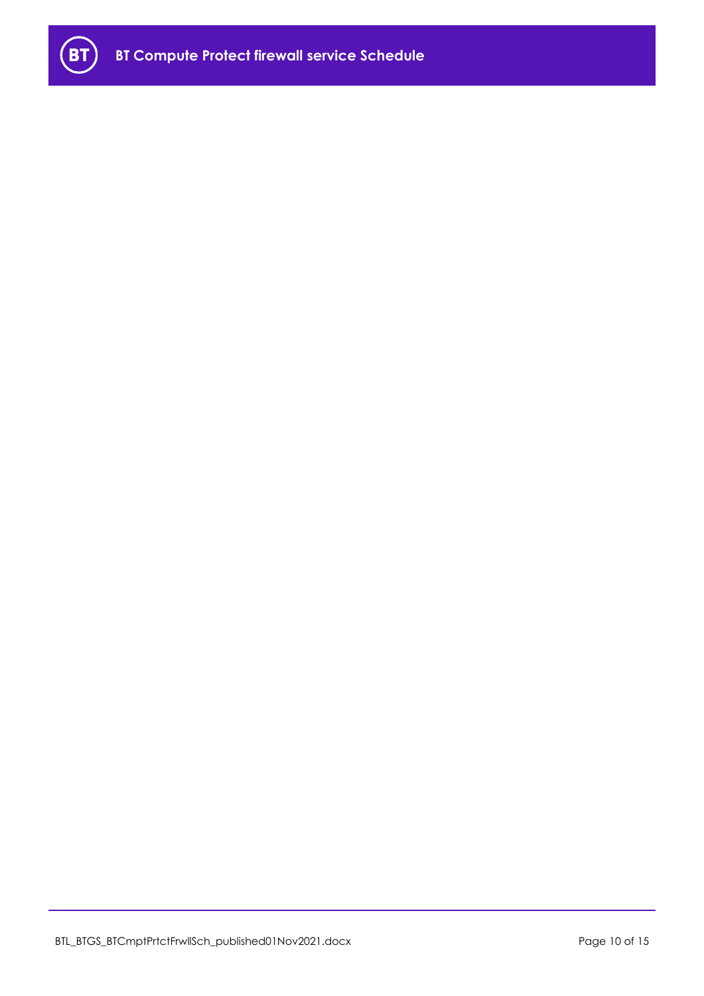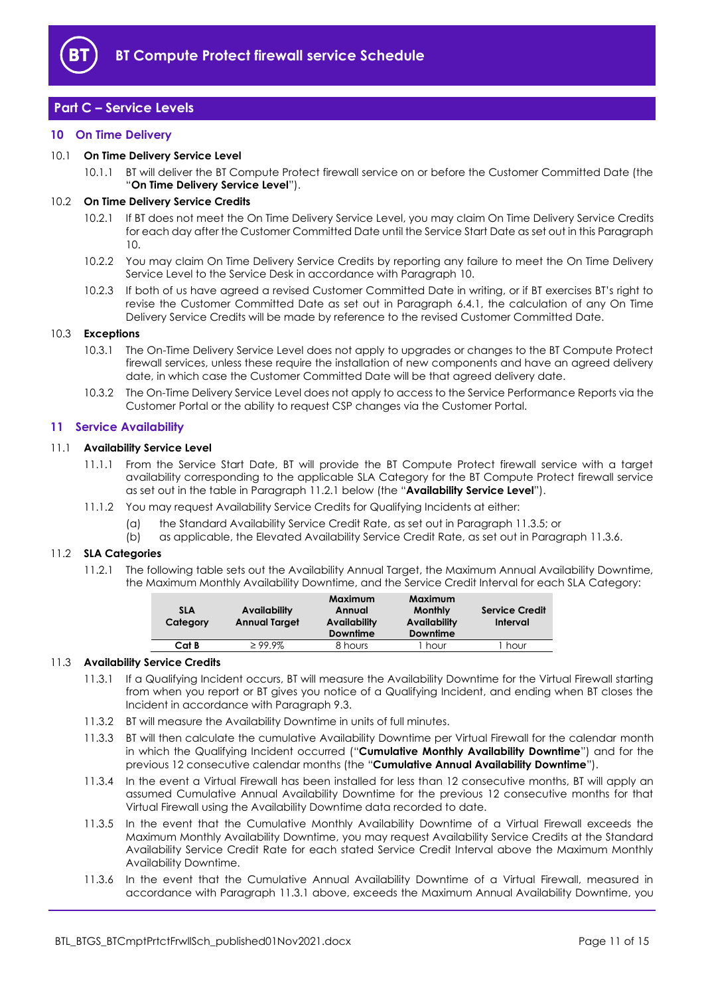

# <span id="page-10-0"></span>**Part C – Service Levels**

# <span id="page-10-1"></span>**10 On Time Delivery**

#### <span id="page-10-9"></span>10.1 **On Time Delivery Service Level**

10.1.1 BT will deliver the BT Compute Protect firewall service on or before the Customer Committed Date (the "**On Time Delivery Service Level**").

#### 10.2 **On Time Delivery Service Credits**

- 10.2.1 If BT does not meet the On Time Delivery Service Level, you may claim On Time Delivery Service Credits for each day after the Customer Committed Date until the Service Start Date as set out in this Paragraph [10.](#page-10-1)
- 10.2.2 You may claim On Time Delivery Service Credits by reporting any failure to meet the On Time Delivery Service Level to the Service Desk in accordance with Paragrap[h 10.](#page-10-1)
- 10.2.3 If both of us have agreed a revised Customer Committed Date in writing, or if BT exercises BT's right to revise the Customer Committed Date as set out in Paragraph [6.4.1,](#page-4-2) the calculation of any On Time Delivery Service Credits will be made by reference to the revised Customer Committed Date.

#### 10.3 **Exceptions**

- 10.3.1 The On-Time Delivery Service Level does not apply to upgrades or changes to the BT Compute Protect firewall services, unless these require the installation of new components and have an agreed delivery date, in which case the Customer Committed Date will be that agreed delivery date.
- 10.3.2 The On-Time Delivery Service Level does not apply to access to the Service Performance Reports via the Customer Portal or the ability to request CSP changes via the Customer Portal.

#### <span id="page-10-2"></span>**11 Service Availability**

#### <span id="page-10-7"></span>11.1 **Availability Service Level**

- 11.1.1 From the Service Start Date, BT will provide the BT Compute Protect firewall service with a target availability corresponding to the applicable SLA Category for the BT Compute Protect firewall service as set out in the table in Paragrap[h 11.2.1](#page-10-3) below (the "**Availability Service Level**").
- 11.1.2 You may request Availability Service Credits for Qualifying Incidents at either:
	- (a) the Standard Availability Service Credit Rate, as set out in Paragraph [11.3.5;](#page-10-4) or
	- (b) as applicable, the Elevated Availability Service Credit Rate, as set out in Paragraph [11.3.6.](#page-10-5)

#### <span id="page-10-3"></span>11.2 **SLA Categories**

11.2.1 The following table sets out the Availability Annual Target, the Maximum Annual Availability Downtime, the Maximum Monthly Availability Downtime, and the Service Credit Interval for each SLA Category:

| <b>SLA</b><br>Category | <b>Availability</b><br><b>Annual Target</b> | <b>Maximum</b><br>Annual<br><b>Availability</b><br><b>Downtime</b> | <b>Maximum</b><br>Monthly<br><b>Availability</b><br><b>Downtime</b> | <b>Service Credit</b><br>Interval |
|------------------------|---------------------------------------------|--------------------------------------------------------------------|---------------------------------------------------------------------|-----------------------------------|
| Cat B                  | $\geq 99.9\%$                               | 8 hours                                                            | l hour                                                              | hour                              |

#### <span id="page-10-6"></span>11.3 **Availability Service Credits**

- 11.3.1 If a Qualifying Incident occurs, BT will measure the Availability Downtime for the Virtual Firewall starting from when you report or BT gives you notice of a Qualifying Incident, and ending when BT closes the Incident in accordance with Paragraph [9.3.](#page-8-2)
- 11.3.2 BT will measure the Availability Downtime in units of full minutes.
- <span id="page-10-8"></span>11.3.3 BT will then calculate the cumulative Availability Downtime per Virtual Firewall for the calendar month in which the Qualifying Incident occurred ("**Cumulative Monthly Availability Downtime**") and for the previous 12 consecutive calendar months (the "**Cumulative Annual Availability Downtime**").
- 11.3.4 In the event a Virtual Firewall has been installed for less than 12 consecutive months, BT will apply an assumed Cumulative Annual Availability Downtime for the previous 12 consecutive months for that Virtual Firewall using the Availability Downtime data recorded to date.
- <span id="page-10-4"></span>11.3.5 In the event that the Cumulative Monthly Availability Downtime of a Virtual Firewall exceeds the Maximum Monthly Availability Downtime, you may request Availability Service Credits at the Standard Availability Service Credit Rate for each stated Service Credit Interval above the Maximum Monthly Availability Downtime.
- <span id="page-10-5"></span>11.3.6 In the event that the Cumulative Annual Availability Downtime of a Virtual Firewall, measured in accordance with Paragraph [11.3.1](#page-10-6) above, exceeds the Maximum Annual Availability Downtime, you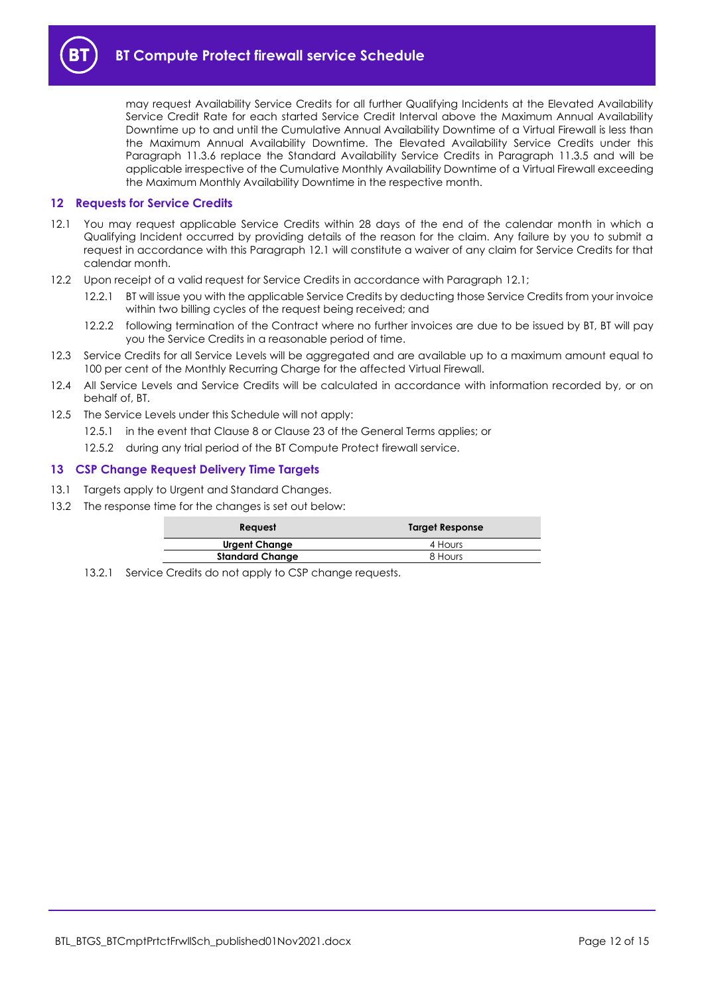

may request Availability Service Credits for all further Qualifying Incidents at the Elevated Availability Service Credit Rate for each started Service Credit Interval above the Maximum Annual Availability Downtime up to and until the Cumulative Annual Availability Downtime of a Virtual Firewall is less than the Maximum Annual Availability Downtime. The Elevated Availability Service Credits under this Paragraph [11.3.6](#page-10-5) replace the Standard Availability Service Credits in Paragraph [11.3.5](#page-10-4) and will be applicable irrespective of the Cumulative Monthly Availability Downtime of a Virtual Firewall exceeding the Maximum Monthly Availability Downtime in the respective month.

#### <span id="page-11-0"></span>**12 Requests for Service Credits**

- <span id="page-11-2"></span>12.1 You may request applicable Service Credits within 28 days of the end of the calendar month in which a Qualifying Incident occurred by providing details of the reason for the claim. Any failure by you to submit a request in accordance with this Paragraph [12.1](#page-11-2) will constitute a waiver of any claim for Service Credits for that calendar month.
- 12.2 Upon receipt of a valid request for Service Credits in accordance with Paragraph [12.1;](#page-11-2)
	- 12.2.1 BT will issue you with the applicable Service Credits by deducting those Service Credits from your invoice within two billing cycles of the request being received; and
	- 12.2.2 following termination of the Contract where no further invoices are due to be issued by BT, BT will pay you the Service Credits in a reasonable period of time.
- 12.3 Service Credits for all Service Levels will be aggregated and are available up to a maximum amount equal to 100 per cent of the Monthly Recurring Charge for the affected Virtual Firewall.
- 12.4 All Service Levels and Service Credits will be calculated in accordance with information recorded by, or on behalf of, BT.
- 12.5 The Service Levels under this Schedule will not apply:
	- 12.5.1 in the event that Clause 8 or Clause 23 of the General Terms applies; or
	- 12.5.2 during any trial period of the BT Compute Protect firewall service.

#### <span id="page-11-1"></span>**13 CSP Change Request Delivery Time Targets**

- 13.1 Targets apply to Urgent and Standard Changes.
- 13.2 The response time for the changes is set out below:

| <b>Reauest</b>         | <b>Target Response</b> |
|------------------------|------------------------|
| <b>Urgent Change</b>   | 4 Hours                |
| <b>Standard Change</b> | 8 Hours                |
|                        |                        |

13.2.1 Service Credits do not apply to CSP change requests.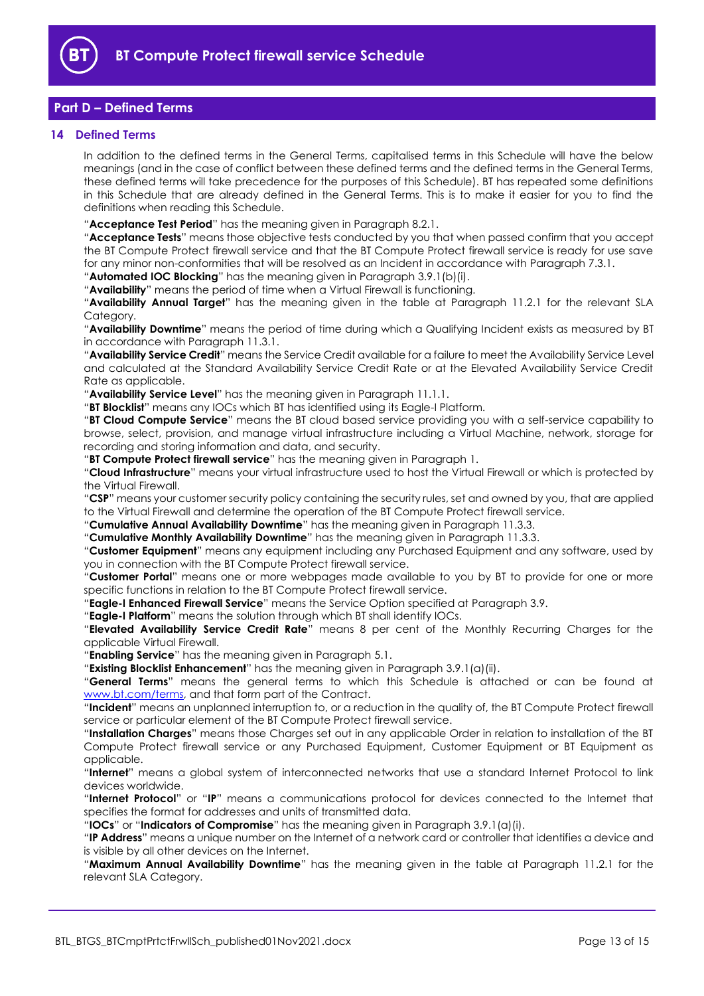

# <span id="page-12-0"></span>**Part D – Defined Terms**

#### <span id="page-12-1"></span>**14 Defined Terms**

In addition to the defined terms in the General Terms, capitalised terms in this Schedule will have the below meanings (and in the case of conflict between these defined terms and the defined terms in the General Terms, these defined terms will take precedence for the purposes of this Schedule). BT has repeated some definitions in this Schedule that are already defined in the General Terms. This is to make it easier for you to find the definitions when reading this Schedule.

"**Acceptance Test Period**" has the meaning given in Paragrap[h 8.2.1.](#page-7-4)

"**Acceptance Tests**" means those objective tests conducted by you that when passed confirm that you accept the BT Compute Protect firewall service and that the BT Compute Protect firewall service is ready for use save for any minor non-conformities that will be resolved as an Incident in accordance with Paragrap[h 7.3.1.](#page-6-6)

"**Automated IOC Blocking**" has the meaning given in Paragraph [3.9.1\(b\)\(i\).](#page-2-1)

"**Availability**" means the period of time when a Virtual Firewall is functioning.

"**Availability Annual Target**" has the meaning given in the table at Paragraph [11.2.1](#page-10-3) for the relevant SLA Category.

"**Availability Downtime**" means the period of time during which a Qualifying Incident exists as measured by BT in accordance with Paragrap[h 11.3.1.](#page-10-6)

"**Availability Service Credit**" means the Service Credit available for a failure to meet the Availability Service Level and calculated at the Standard Availability Service Credit Rate or at the Elevated Availability Service Credit Rate as applicable.

"**Availability Service Level**" has the meaning given in Paragraph [11.1.1.](#page-10-7)

"**BT Blocklist**" means any IOCs which BT has identified using its Eagle-I Platform.

"**BT Cloud Compute Service**" means the BT cloud based service providing you with a self-service capability to browse, select, provision, and manage virtual infrastructure including a Virtual Machine, network, storage for recording and storing information and data, and security.

"**BT Compute Protect firewall service**" has the meaning given in Paragraph [1.](#page-1-3)

"**Cloud Infrastructure**" means your virtual infrastructure used to host the Virtual Firewall or which is protected by the Virtual Firewall.

"**CSP**" means your customer security policy containing the security rules, set and owned by you, that are applied to the Virtual Firewall and determine the operation of the BT Compute Protect firewall service.

"**Cumulative Annual Availability Downtime**" has the meaning given in Paragraph [11.3.3.](#page-10-8)

"**Cumulative Monthly Availability Downtime**" has the meaning given in Paragrap[h 11.3.3.](#page-10-8)

"**Customer Equipment**" means any equipment including any Purchased Equipment and any software, used by you in connection with the BT Compute Protect firewall service.

"**Customer Portal**" means one or more webpages made available to you by BT to provide for one or more specific functions in relation to the BT Compute Protect firewall service.

"**Eagle-I Enhanced Firewall Service**" means the Service Option specified at Paragraph [3.9.](#page-2-3)

"**Eagle-I Platform**" means the solution through which BT shall identify IOCs.

"**Elevated Availability Service Credit Rate**" means 8 per cent of the Monthly Recurring Charges for the applicable Virtual Firewall.

"**Enabling Service**" has the meaning given in Paragrap[h 5.1.](#page-3-7)

"**Existing Blocklist Enhancement**" has the meaning given in Paragraph [3.9.1\(a\)\(ii\).](#page-2-4)

"**General Terms**" means the general terms to which this Schedule is attached or can be found at [www.bt.com/terms,](http://www.bt.com/terms) and that form part of the Contract.

"**Incident**" means an unplanned interruption to, or a reduction in the quality of, the BT Compute Protect firewall service or particular element of the BT Compute Protect firewall service.

"**Installation Charges**" means those Charges set out in any applicable Order in relation to installation of the BT Compute Protect firewall service or any Purchased Equipment, Customer Equipment or BT Equipment as applicable.

"**Internet**" means a global system of interconnected networks that use a standard Internet Protocol to link devices worldwide.

"**Internet Protocol**" or "**IP**" means a communications protocol for devices connected to the Internet that specifies the format for addresses and units of transmitted data.

"**IOCs**" or "**Indicators of Compromise**" has the meaning given in Paragraph [3.9.1\(a\)\(i\).](#page-2-5)

"**IP Address**" means a unique number on the Internet of a network card or controller that identifies a device and is visible by all other devices on the Internet.

"**Maximum Annual Availability Downtime**" has the meaning given in the table at Paragraph [11.2.1](#page-10-3) for the relevant SLA Category.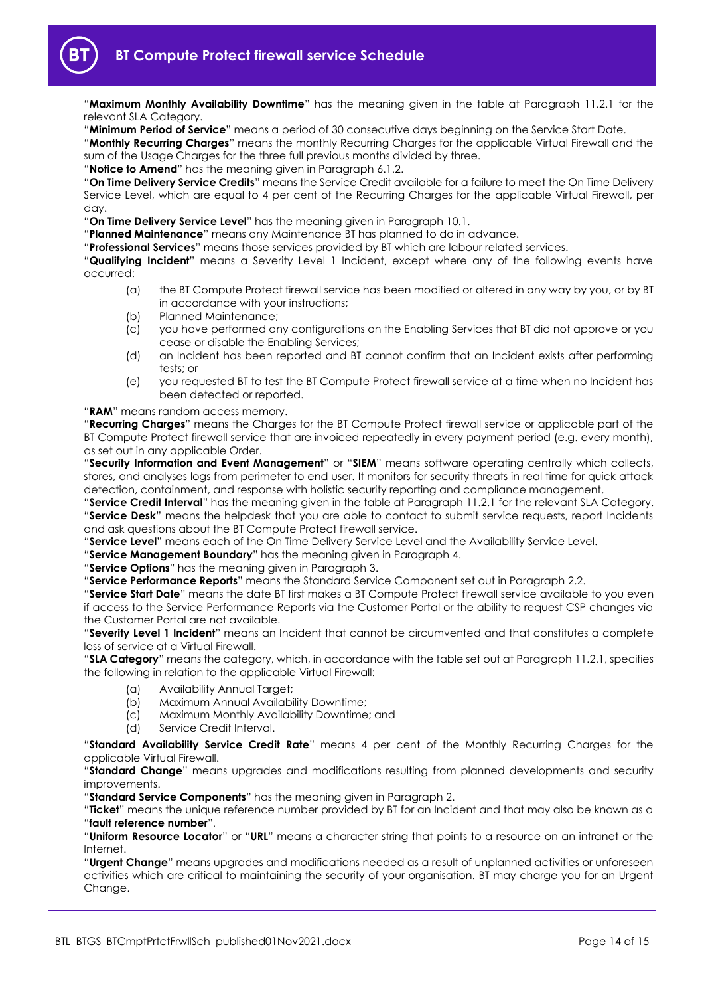

"**Maximum Monthly Availability Downtime**" has the meaning given in the table at Paragraph [11.2.1](#page-10-3) for the relevant SLA Category.

"**Minimum Period of Service**" means a period of 30 consecutive days beginning on the Service Start Date.

"**Monthly Recurring Charges**" means the monthly Recurring Charges for the applicable Virtual Firewall and the sum of the Usage Charges for the three full previous months divided by three.

"**Notice to Amend**" has the meaning given in Paragraph [6.1.2.](#page-3-6)

"**On Time Delivery Service Credits**" means the Service Credit available for a failure to meet the On Time Delivery Service Level, which are equal to 4 per cent of the Recurring Charges for the applicable Virtual Firewall, per day.

"**On Time Delivery Service Level**" has the meaning given in Paragrap[h 10.1.](#page-10-9)

"**Planned Maintenance**" means any Maintenance BT has planned to do in advance.

"**Professional Services**" means those services provided by BT which are labour related services.

"**Qualifying Incident**" means a Severity Level 1 Incident, except where any of the following events have occurred:

- (a) the BT Compute Protect firewall service has been modified or altered in any way by you, or by BT in accordance with your instructions;
- (b) Planned Maintenance;
- (c) you have performed any configurations on the Enabling Services that BT did not approve or you cease or disable the Enabling Services;
- (d) an Incident has been reported and BT cannot confirm that an Incident exists after performing tests; or
- (e) you requested BT to test the BT Compute Protect firewall service at a time when no Incident has been detected or reported.

"**RAM**" means random access memory.

"**Recurring Charges**" means the Charges for the BT Compute Protect firewall service or applicable part of the BT Compute Protect firewall service that are invoiced repeatedly in every payment period (e.g. every month), as set out in any applicable Order.

"**Security Information and Event Management**" or "**SIEM**" means software operating centrally which collects, stores, and analyses logs from perimeter to end user. It monitors for security threats in real time for quick attack detection, containment, and response with holistic security reporting and compliance management.

"**Service Credit Interval**" has the meaning given in the table at Paragraph [11.2.1](#page-10-3) for the relevant SLA Category. "**Service Desk**" means the helpdesk that you are able to contact to submit service requests, report Incidents and ask questions about the BT Compute Protect firewall service.

"**Service Level**" means each of the On Time Delivery Service Level and the Availability Service Level.

"**Service Management Boundary**" has the meaning given in Paragrap[h 4.](#page-3-0)

"**Service Options**" has the meaning given in Paragraph [3.](#page-1-5)

"**Service Performance Reports**" means the Standard Service Component set out in Paragraph [2.2.](#page-1-6)

"**Service Start Date**" means the date BT first makes a BT Compute Protect firewall service available to you even if access to the Service Performance Reports via the Customer Portal or the ability to request CSP changes via the Customer Portal are not available.

"**Severity Level 1 Incident**" means an Incident that cannot be circumvented and that constitutes a complete loss of service at a Virtual Firewall.

"**SLA Category**" means the category, which, in accordance with the table set out at Paragraph [11.2.1,](#page-10-3) specifies the following in relation to the applicable Virtual Firewall:

- (a) Availability Annual Target;
- (b) Maximum Annual Availability Downtime;
- (c) Maximum Monthly Availability Downtime; and
- (d) Service Credit Interval.

"**Standard Availability Service Credit Rate**" means 4 per cent of the Monthly Recurring Charges for the applicable Virtual Firewall.

"**Standard Change**" means upgrades and modifications resulting from planned developments and security improvements.

"**Standard Service Components**" has the meaning given in Paragraph [2.](#page-1-4)

"**Ticket**" means the unique reference number provided by BT for an Incident and that may also be known as a "**fault reference number**".

"**Uniform Resource Locator**" or "**URL**" means a character string that points to a resource on an intranet or the Internet.

"**Urgent Change**" means upgrades and modifications needed as a result of unplanned activities or unforeseen activities which are critical to maintaining the security of your organisation. BT may charge you for an Urgent Change.